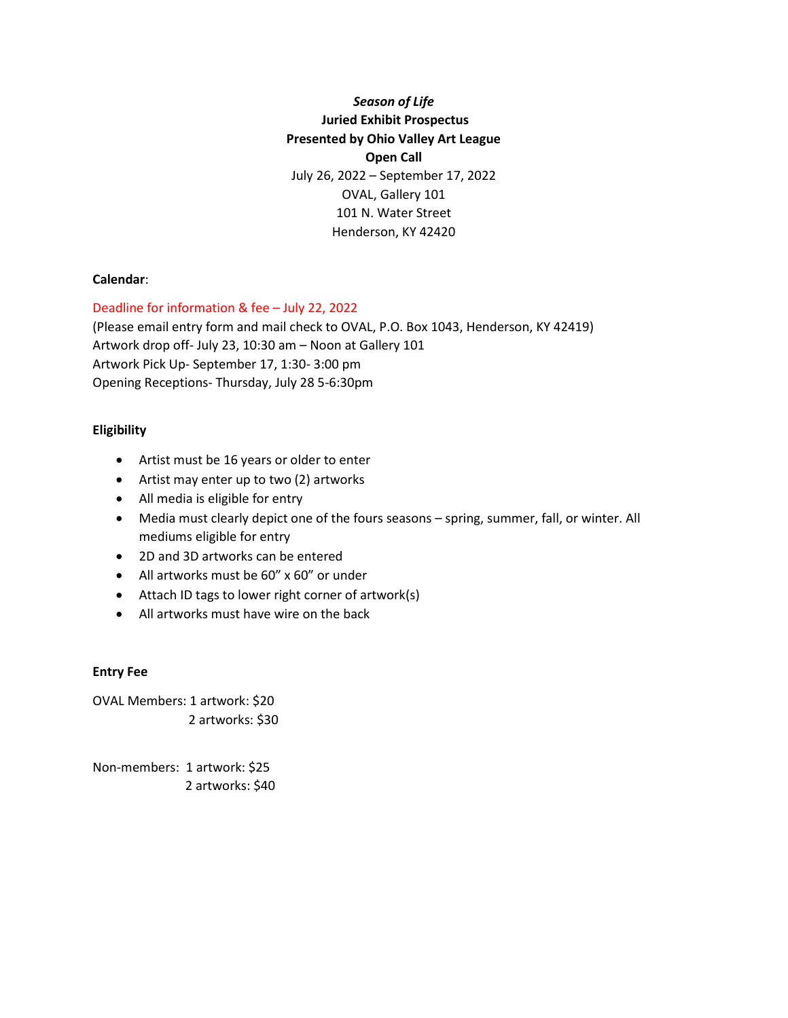# *Season of Life* **Juried Exhibit Prospectus Presented by Ohio Valley Art League Open Call** July 26, 2022 – September 17, 2022 OVAL, Gallery 101 101 N. Water Street Henderson, KY 42420

#### **Calendar**:

Deadline for information & fee – July 22, 2022

(Please email entry form and mail check to OVAL, P.O. Box 1043, Henderson, KY 42419) Artwork drop off- July 23, 10:30 am – Noon at Gallery 101 Artwork Pick Up- September 17, 1:30- 3:00 pm Opening Receptions- Thursday, July 28 5-6:30pm

## **Eligibility**

- Artist must be 16 years or older to enter
- Artist may enter up to two (2) artworks
- All media is eligible for entry
- Media must clearly depict one of the fours seasons spring, summer, fall, or winter. All mediums eligible for entry
- 2D and 3D artworks can be entered
- All artworks must be 60" x 60" or under
- Attach ID tags to lower right corner of artwork(s)
- All artworks must have wire on the back

#### **Entry Fee**

OVAL Members: 1 artwork: \$20 2 artworks: \$30

Non-members: 1 artwork: \$25 2 artworks: \$40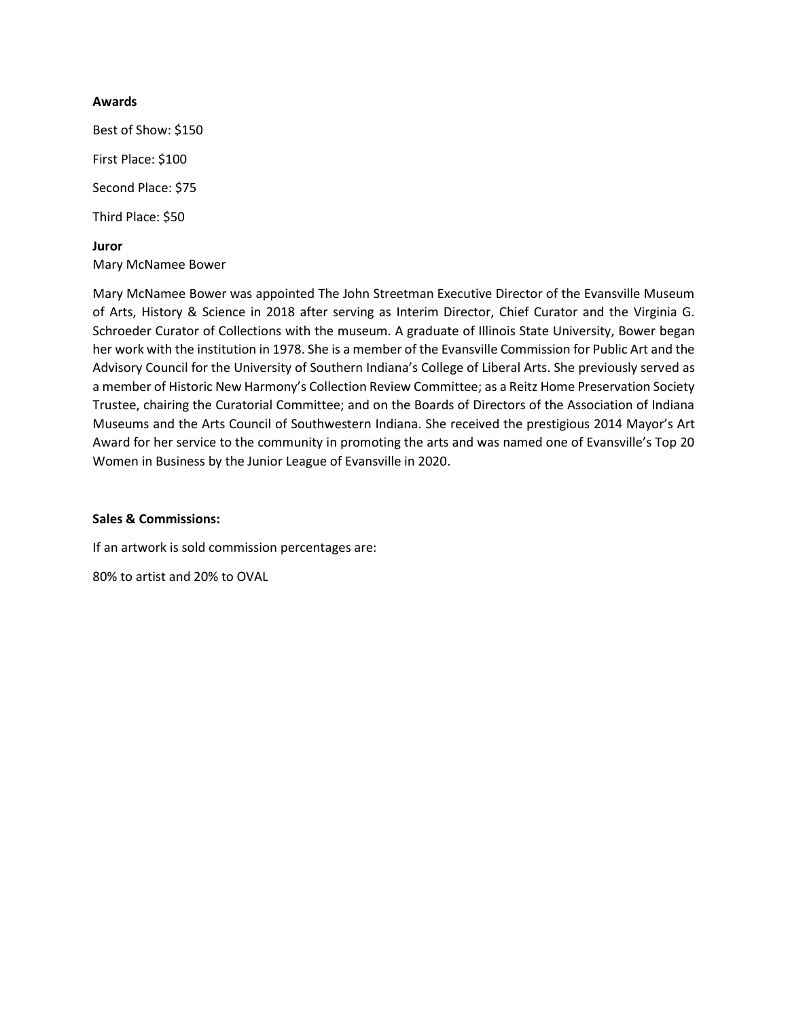#### **Awards**

Best of Show: \$150 First Place: \$100 Second Place: \$75 Third Place: \$50 **Juror**

Mary McNamee Bower

Mary McNamee Bower was appointed The John Streetman Executive Director of the Evansville Museum of Arts, History & Science in 2018 after serving as Interim Director, Chief Curator and the Virginia G. Schroeder Curator of Collections with the museum. A graduate of Illinois State University, Bower began her work with the institution in 1978. She is a member of the Evansville Commission for Public Art and the Advisory Council for the University of Southern Indiana's College of Liberal Arts. She previously served as a member of Historic New Harmony's Collection Review Committee; as a Reitz Home Preservation Society Trustee, chairing the Curatorial Committee; and on the Boards of Directors of the Association of Indiana Museums and the Arts Council of Southwestern Indiana. She received the prestigious 2014 Mayor's Art Award for her service to the community in promoting the arts and was named one of Evansville's Top 20 Women in Business by the Junior League of Evansville in 2020.

## **Sales & Commissions:**

If an artwork is sold commission percentages are:

80% to artist and 20% to OVAL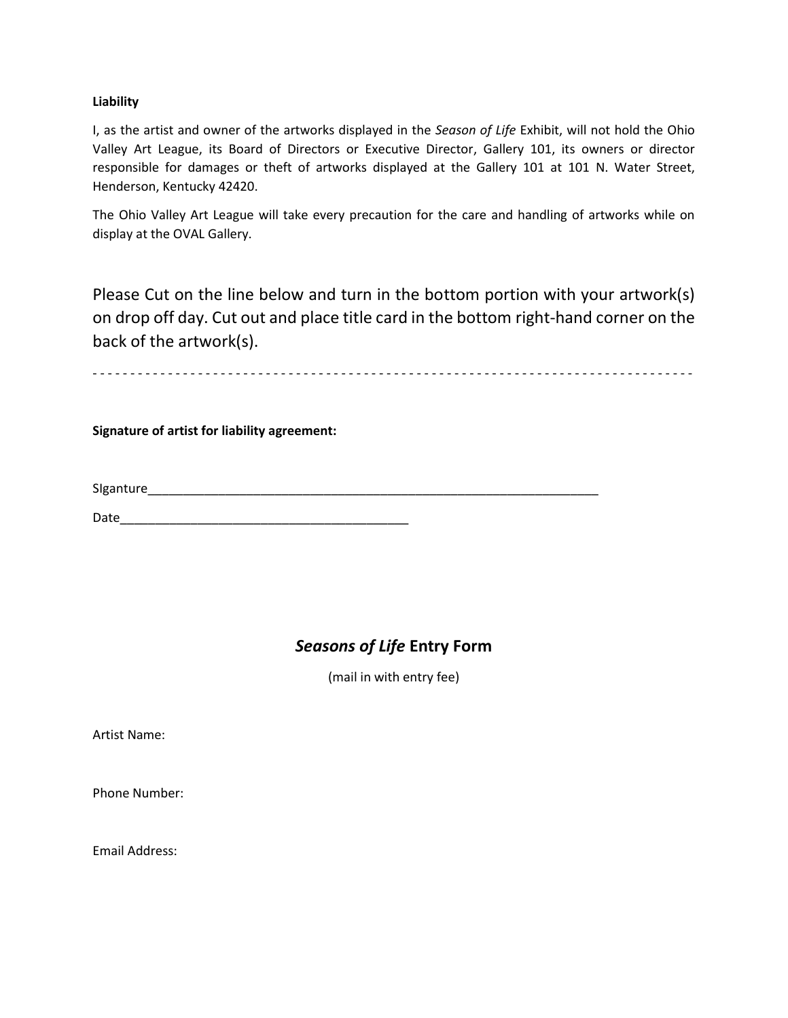#### **Liability**

I, as the artist and owner of the artworks displayed in the *Season of Life* Exhibit, will not hold the Ohio Valley Art League, its Board of Directors or Executive Director, Gallery 101, its owners or director responsible for damages or theft of artworks displayed at the Gallery 101 at 101 N. Water Street, Henderson, Kentucky 42420.

The Ohio Valley Art League will take every precaution for the care and handling of artworks while on display at the OVAL Gallery.

Please Cut on the line below and turn in the bottom portion with your artwork(s) on drop off day. Cut out and place title card in the bottom right-hand corner on the back of the artwork(s).

- - - - - - - - - - - - - - - - - - - - - - - - - - - - - - - - - - - - - - - - - - - - - - - - - - - - - - - - - - - - - - - - - - - - - - - - - - - - - - - -

**Signature of artist for liability agreement:**

SIganture\_\_\_\_\_\_\_\_\_\_\_\_\_\_\_\_\_\_\_\_\_\_\_\_\_\_\_\_\_\_\_\_\_\_\_\_\_\_\_\_\_\_\_\_\_\_\_\_\_\_\_\_\_\_\_\_\_\_\_\_\_\_\_\_

Date\_\_\_\_\_\_\_\_\_\_\_\_\_\_\_\_\_\_\_\_\_\_\_\_\_\_\_\_\_\_\_\_\_\_\_\_\_\_\_\_\_

# *Seasons of Life* **Entry Form**

(mail in with entry fee)

Artist Name:

Phone Number:

Email Address: